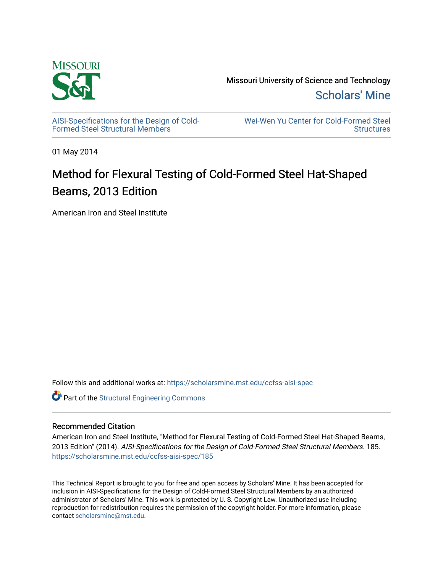

[AISI-Specifications for the Design of Cold-](https://scholarsmine.mst.edu/ccfss-aisi-spec)[Formed Steel Structural Members](https://scholarsmine.mst.edu/ccfss-aisi-spec)

[Wei-Wen Yu Center for Cold-Formed Steel](https://scholarsmine.mst.edu/ccfss)  **Structures** 

01 May 2014

# Method for Flexural Testing of Cold-Formed Steel Hat-Shaped Beams, 2013 Edition

American Iron and Steel Institute

Follow this and additional works at: [https://scholarsmine.mst.edu/ccfss-aisi-spec](https://scholarsmine.mst.edu/ccfss-aisi-spec?utm_source=scholarsmine.mst.edu%2Fccfss-aisi-spec%2F185&utm_medium=PDF&utm_campaign=PDFCoverPages) 

Part of the [Structural Engineering Commons](http://network.bepress.com/hgg/discipline/256?utm_source=scholarsmine.mst.edu%2Fccfss-aisi-spec%2F185&utm_medium=PDF&utm_campaign=PDFCoverPages) 

# Recommended Citation

American Iron and Steel Institute, "Method for Flexural Testing of Cold-Formed Steel Hat-Shaped Beams, 2013 Edition" (2014). AISI-Specifications for the Design of Cold-Formed Steel Structural Members. 185. [https://scholarsmine.mst.edu/ccfss-aisi-spec/185](https://scholarsmine.mst.edu/ccfss-aisi-spec/185?utm_source=scholarsmine.mst.edu%2Fccfss-aisi-spec%2F185&utm_medium=PDF&utm_campaign=PDFCoverPages) 

This Technical Report is brought to you for free and open access by Scholars' Mine. It has been accepted for inclusion in AISI-Specifications for the Design of Cold-Formed Steel Structural Members by an authorized administrator of Scholars' Mine. This work is protected by U. S. Copyright Law. Unauthorized use including reproduction for redistribution requires the permission of the copyright holder. For more information, please contact [scholarsmine@mst.edu](mailto:scholarsmine@mst.edu).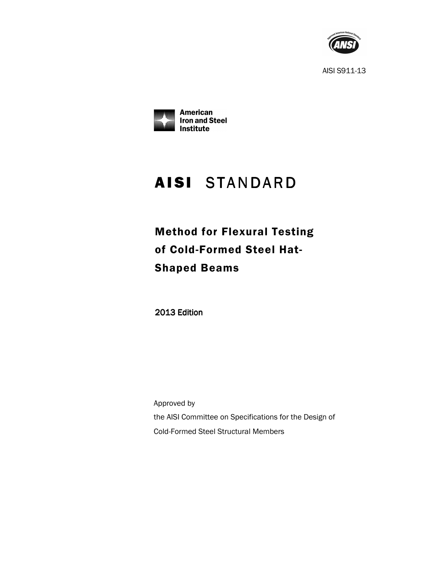

AISI S911-13



# AISI STANDARD

# Method for Flexural Testing of Cold-Formed Steel Hat-Shaped Beams

2013Edition

Approved by the AISI Committee on Specifications for the Design of Cold-Formed Steel Structural Members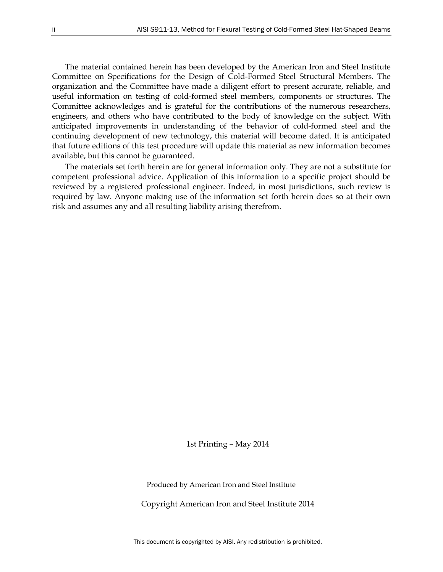The material contained herein has been developed by the American Iron and Steel Institute Committee on Specifications for the Design of Cold-Formed Steel Structural Members. The organization and the Committee have made a diligent effort to present accurate, reliable, and useful information on testing of cold-formed steel members, components or structures. The Committee acknowledges and is grateful for the contributions of the numerous researchers, engineers, and others who have contributed to the body of knowledge on the subject. With anticipated improvements in understanding of the behavior of cold-formed steel and the continuing development of new technology, this material will become dated. It is anticipated that future editions of this test procedure will update this material as new information becomes available, but this cannot be guaranteed.

The materials set forth herein are for general information only. They are not a substitute for competent professional advice. Application of this information to a specific project should be reviewed by a registered professional engineer. Indeed, in most jurisdictions, such review is required by law. Anyone making use of the information set forth herein does so at their own risk and assumes any and all resulting liability arising therefrom.

1st Printing – May 2014

Produced by American Iron and Steel Institute

Copyright American Iron and Steel Institute 2014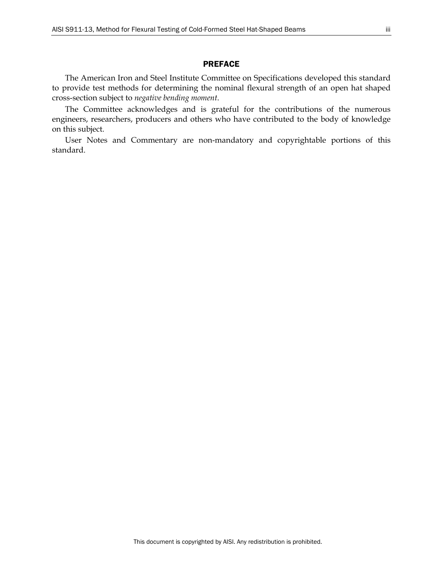#### PREFACE

The American Iron and Steel Institute Committee on Specifications developed this standard to provide test methods for determining the nominal flexural strength of an open hat shaped cross-section subject to *negative bending moment*.

The Committee acknowledges and is grateful for the contributions of the numerous engineers, researchers, producers and others who have contributed to the body of knowledge on this subject.

User Notes and Commentary are non-mandatory and copyrightable portions of this standard.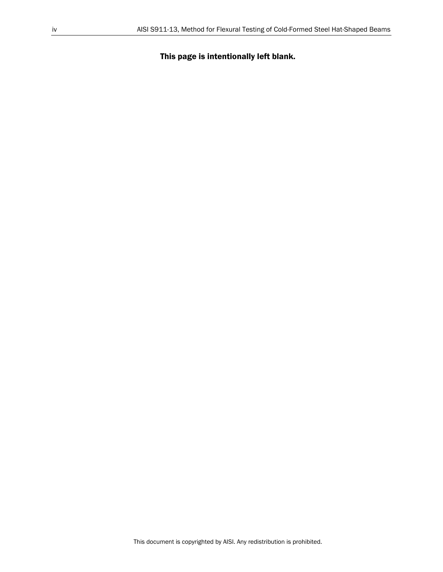# This page is intentionally left blank.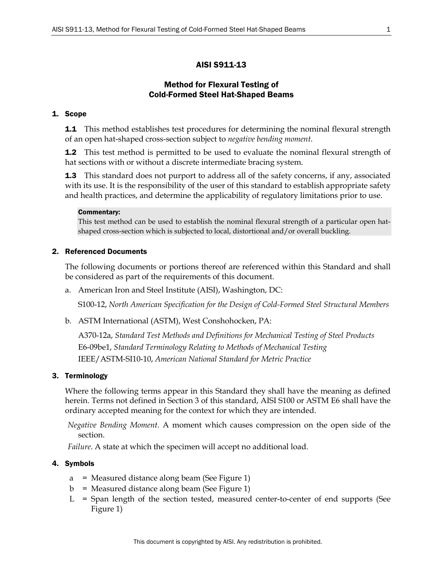# Method for Flexural Testing of Cold-Formed Steel Hat-Shaped Beams

## 1. Scope

**1.1** This method establishes test procedures for determining the nominal flexural strength of an open hat-shaped cross-section subject to *negative bending moment*.

**1.2** This test method is permitted to be used to evaluate the nominal flexural strength of hat sections with or without a discrete intermediate bracing system.

**1.3** This standard does not purport to address all of the safety concerns, if any, associated with its use. It is the responsibility of the user of this standard to establish appropriate safety and health practices, and determine the applicability of regulatory limitations prior to use.

#### Commentary:

This test method can be used to establish the nominal flexural strength of a particular open hatshaped cross-section which is subjected to local, distortional and/or overall buckling.

## 2. Referenced Documents

The following documents or portions thereof are referenced within this Standard and shall be considered as part of the requirements of this document.

a. American Iron and Steel Institute (AISI), Washington, DC:

S100-12, *North American Specification for the Design of Cold-Formed Steel Structural Members* 

b. ASTM International (ASTM), West Conshohocken, PA:

 A370-12a, *Standard Test Methods and Definitions for Mechanical Testing of Steel Products* E6-09be1, *Standard Terminology Relating to Methods of Mechanical Testing* IEEE/ASTM-SI10-10, *American National Standard for Metric Practice*

## 3. Terminology

Where the following terms appear in this Standard they shall have the meaning as defined herein. Terms not defined in Section 3 of this standard, AISI S100 or ASTM E6 shall have the ordinary accepted meaning for the context for which they are intended.

*Negative Bending Moment.* A moment which causes compression on the open side of the section.

*Failure*. A state at which the specimen will accept no additional load.

## 4. Symbols

- a = Measured distance along beam (See Figure 1)
- $b = Measured distance along beam (See Figure 1)$
- $L =$  Span length of the section tested, measured center-to-center of end supports (See Figure 1)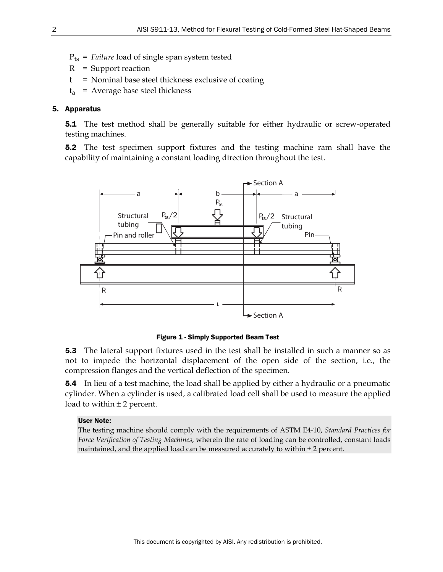Pts = *Failure* load of single span system tested

- R = Support reaction
- $t =$  Nominal base steel thickness exclusive of coating
- $t_a$  = Average base steel thickness

#### 5. Apparatus

**5.1** The test method shall be generally suitable for either hydraulic or screw-operated testing machines.

5.2 The test specimen support fixtures and the testing machine ram shall have the capability of maintaining a constant loading direction throughout the test.



#### Figure 1 - Simply Supported Beam Test

5.3 The lateral support fixtures used in the test shall be installed in such a manner so as not to impede the horizontal displacement of the open side of the section, i.e., the compression flanges and the vertical deflection of the specimen.

**5.4** In lieu of a test machine, the load shall be applied by either a hydraulic or a pneumatic cylinder. When a cylinder is used, a calibrated load cell shall be used to measure the applied load to within  $\pm$  2 percent.

#### User Note:

The testing machine should comply with the requirements of ASTM E4-10, *Standard Practices for Force Verification of Testing Machines*, wherein the rate of loading can be controlled, constant loads maintained, and the applied load can be measured accurately to within  $\pm 2$  percent.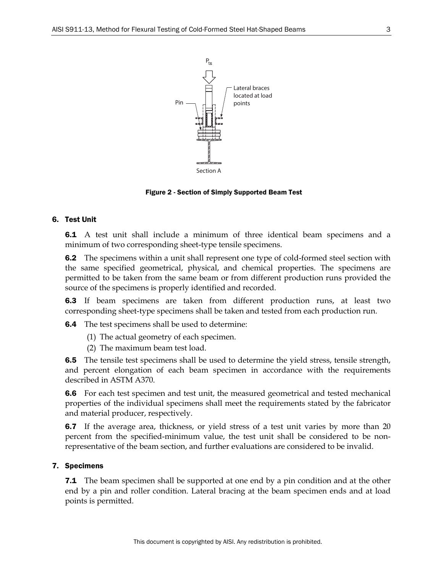

Figure 2 - Section of Simply Supported Beam Test

#### 6. Test Unit

6.1 A test unit shall include a minimum of three identical beam specimens and a minimum of two corresponding sheet-type tensile specimens.

**6.2** The specimens within a unit shall represent one type of cold-formed steel section with the same specified geometrical, physical, and chemical properties. The specimens are permitted to be taken from the same beam or from different production runs provided the source of the specimens is properly identified and recorded.

6.3 If beam specimens are taken from different production runs, at least two corresponding sheet-type specimens shall be taken and tested from each production run.

**6.4** The test specimens shall be used to determine:

- (1) The actual geometry of each specimen.
- (2) The maximum beam test load.

**6.5** The tensile test specimens shall be used to determine the yield stress, tensile strength, and percent elongation of each beam specimen in accordance with the requirements described in ASTM A370.

6.6 For each test specimen and test unit, the measured geometrical and tested mechanical properties of the individual specimens shall meet the requirements stated by the fabricator and material producer, respectively.

**6.7** If the average area, thickness, or yield stress of a test unit varies by more than 20 percent from the specified-minimum value, the test unit shall be considered to be nonrepresentative of the beam section, and further evaluations are considered to be invalid.

#### 7. Specimens

**7.1** The beam specimen shall be supported at one end by a pin condition and at the other end by a pin and roller condition. Lateral bracing at the beam specimen ends and at load points is permitted.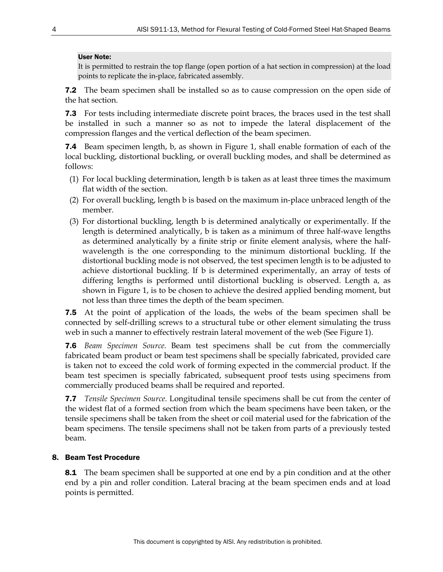## User Note:

It is permitted to restrain the top flange (open portion of a hat section in compression) at the load points to replicate the in-place, fabricated assembly.

**7.2** The beam specimen shall be installed so as to cause compression on the open side of the hat section.

**7.3** For tests including intermediate discrete point braces, the braces used in the test shall be installed in such a manner so as not to impede the lateral displacement of the compression flanges and the vertical deflection of the beam specimen.

**7.4** Beam specimen length, b, as shown in Figure 1, shall enable formation of each of the local buckling, distortional buckling, or overall buckling modes, and shall be determined as follows:

- (1) For local buckling determination, length b is taken as at least three times the maximum flat width of the section.
- (2) For overall buckling, length b is based on the maximum in-place unbraced length of the member.
- (3) For distortional buckling, length b is determined analytically or experimentally. If the length is determined analytically, b is taken as a minimum of three half-wave lengths as determined analytically by a finite strip or finite element analysis, where the halfwavelength is the one corresponding to the minimum distortional buckling. If the distortional buckling mode is not observed, the test specimen length is to be adjusted to achieve distortional buckling. If b is determined experimentally, an array of tests of differing lengths is performed until distortional buckling is observed. Length a, as shown in Figure 1, is to be chosen to achieve the desired applied bending moment, but not less than three times the depth of the beam specimen.

**7.5** At the point of application of the loads, the webs of the beam specimen shall be connected by self-drilling screws to a structural tube or other element simulating the truss web in such a manner to effectively restrain lateral movement of the web (See Figure 1).

7.6 *Beam Specimen Source*. Beam test specimens shall be cut from the commercially fabricated beam product or beam test specimens shall be specially fabricated, provided care is taken not to exceed the cold work of forming expected in the commercial product. If the beam test specimen is specially fabricated, subsequent proof tests using specimens from commercially produced beams shall be required and reported.

7.7 *Tensile Specimen Source*. Longitudinal tensile specimens shall be cut from the center of the widest flat of a formed section from which the beam specimens have been taken, or the tensile specimens shall be taken from the sheet or coil material used for the fabrication of the beam specimens. The tensile specimens shall not be taken from parts of a previously tested beam.

# 8. Beam Test Procedure

**8.1** The beam specimen shall be supported at one end by a pin condition and at the other end by a pin and roller condition. Lateral bracing at the beam specimen ends and at load points is permitted.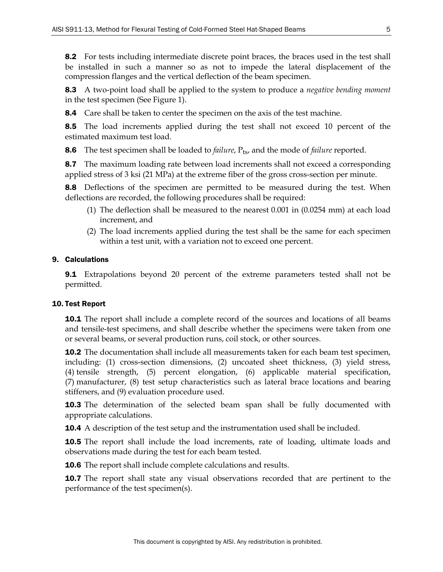8.2 For tests including intermediate discrete point braces, the braces used in the test shall be installed in such a manner so as not to impede the lateral displacement of the compression flanges and the vertical deflection of the beam specimen.

8.3 A two-point load shall be applied to the system to produce a *negative bending moment* in the test specimen (See Figure 1).

**8.4** Care shall be taken to center the specimen on the axis of the test machine.

**8.5** The load increments applied during the test shall not exceed 10 percent of the estimated maximum test load.

**8.6** The test specimen shall be loaded to *failure*, P<sub>ts</sub>, and the mode of *failure* reported.

**8.7** The maximum loading rate between load increments shall not exceed a corresponding applied stress of 3 ksi (21 MPa) at the extreme fiber of the gross cross-section per minute.

**8.8** Deflections of the specimen are permitted to be measured during the test. When deflections are recorded, the following procedures shall be required:

- (1) The deflection shall be measured to the nearest 0.001 in (0.0254 mm) at each load increment, and
- (2) The load increments applied during the test shall be the same for each specimen within a test unit, with a variation not to exceed one percent.

#### 9. Calculations

9.1 Extrapolations beyond 20 percent of the extreme parameters tested shall not be permitted.

#### 10. Test Report

**10.1** The report shall include a complete record of the sources and locations of all beams and tensile-test specimens, and shall describe whether the specimens were taken from one or several beams, or several production runs, coil stock, or other sources.

**10.2** The documentation shall include all measurements taken for each beam test specimen, including: (1) cross-section dimensions, (2) uncoated sheet thickness, (3) yield stress, (4) tensile strength, (5) percent elongation, (6) applicable material specification, (7) manufacturer, (8) test setup characteristics such as lateral brace locations and bearing stiffeners, and (9) evaluation procedure used.

**10.3** The determination of the selected beam span shall be fully documented with appropriate calculations.

**10.4** A description of the test setup and the instrumentation used shall be included.

**10.5** The report shall include the load increments, rate of loading, ultimate loads and observations made during the test for each beam tested.

**10.6** The report shall include complete calculations and results.

**10.7** The report shall state any visual observations recorded that are pertinent to the performance of the test specimen(s).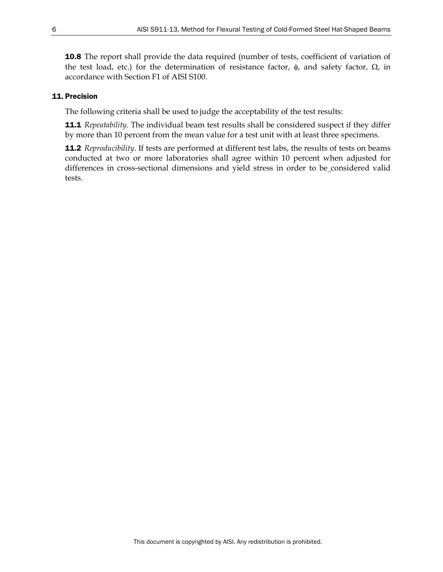**10.8** The report shall provide the data required (number of tests, coefficient of variation of the test load, etc.) for the determination of resistance factor,  $φ$ , and safety factor,  $Ω$ , in accordance with Section F1 of AISI S100.

#### 11. Precision

The following criteria shall be used to judge the acceptability of the test results:

11.1 *Repeatability*. The individual beam test results shall be considered suspect if they differ by more than 10 percent from the mean value for a test unit with at least three specimens.

11.2 *Reproducibility*. If tests are performed at different test labs, the results of tests on beams conducted at two or more laboratories shall agree within 10 percent when adjusted for differences in cross-sectional dimensions and yield stress in order to be considered valid tests.